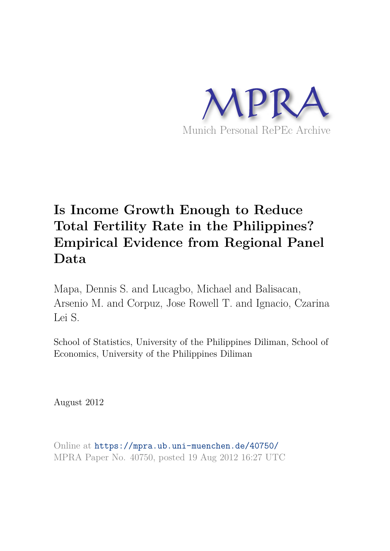

# **Is Income Growth Enough to Reduce Total Fertility Rate in the Philippines? Empirical Evidence from Regional Panel Data**

Mapa, Dennis S. and Lucagbo, Michael and Balisacan, Arsenio M. and Corpuz, Jose Rowell T. and Ignacio, Czarina Lei S.

School of Statistics, University of the Philippines Diliman, School of Economics, University of the Philippines Diliman

August 2012

Online at https://mpra.ub.uni-muenchen.de/40750/ MPRA Paper No. 40750, posted 19 Aug 2012 16:27 UTC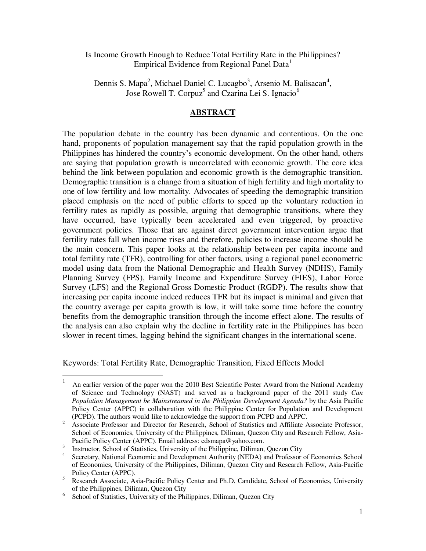Is Income Growth Enough to Reduce Total Fertility Rate in the Philippines? Empirical Evidence from Regional Panel Data<sup>1</sup>

Dennis S. Mapa<sup>2</sup>, Michael Daniel C. Lucagbo<sup>3</sup>, Arsenio M. Balisacan<sup>4</sup>, Jose Rowell T. Corpuz<sup>5</sup> and Czarina Lei S. Ignacio<sup>6</sup>

# **ABSTRACT**

The population debate in the country has been dynamic and contentious. On the one hand, proponents of population management say that the rapid population growth in the Philippines has hindered the country's economic development. On the other hand, others are saying that population growth is uncorrelated with economic growth. The core idea behind the link between population and economic growth is the demographic transition. Demographic transition is a change from a situation of high fertility and high mortality to one of low fertility and low mortality. Advocates of speeding the demographic transition placed emphasis on the need of public efforts to speed up the voluntary reduction in fertility rates as rapidly as possible, arguing that demographic transitions, where they have occurred, have typically been accelerated and even triggered, by proactive government policies. Those that are against direct government intervention argue that fertility rates fall when income rises and therefore, policies to increase income should be the main concern. This paper looks at the relationship between per capita income and total fertility rate (TFR), controlling for other factors, using a regional panel econometric model using data from the National Demographic and Health Survey (NDHS), Family Planning Survey (FPS), Family Income and Expenditure Survey (FIES), Labor Force Survey (LFS) and the Regional Gross Domestic Product (RGDP). The results show that increasing per capita income indeed reduces TFR but its impact is minimal and given that the country average per capita growth is low, it will take some time before the country benefits from the demographic transition through the income effect alone. The results of the analysis can also explain why the decline in fertility rate in the Philippines has been slower in recent times, lagging behind the significant changes in the international scene.

Keywords: Total Fertility Rate, Demographic Transition, Fixed Effects Model

 $\overline{a}$ 

<sup>1</sup> An earlier version of the paper won the 2010 Best Scientific Poster Award from the National Academy of Science and Technology (NAST) and served as a background paper of the 2011 study *Can Population Management be Mainstreamed in the Philippine Development Agenda?* by the Asia Pacific Policy Center (APPC) in collaboration with the Philippine Center for Population and Development (PCPD). The authors would like to acknowledge the support from PCPD and APPC.

<sup>2</sup> Associate Professor and Director for Research, School of Statistics and Affiliate Associate Professor, School of Economics, University of the Philippines, Diliman, Quezon City and Research Fellow, Asia-Pacific Policy Center (APPC). Email address: cdsmapa@yahoo.com.

<sup>3</sup> Instructor, School of Statistics, University of the Philippine, Diliman, Quezon City

<sup>4</sup> Secretary, National Economic and Development Authority (NEDA) and Professor of Economics School of Economics, University of the Philippines, Diliman, Quezon City and Research Fellow, Asia-Pacific Policy Center (APPC).

<sup>5</sup> Research Associate, Asia-Pacific Policy Center and Ph.D. Candidate, School of Economics, University of the Philippines, Diliman, Quezon City

<sup>6</sup> School of Statistics, University of the Philippines, Diliman, Quezon City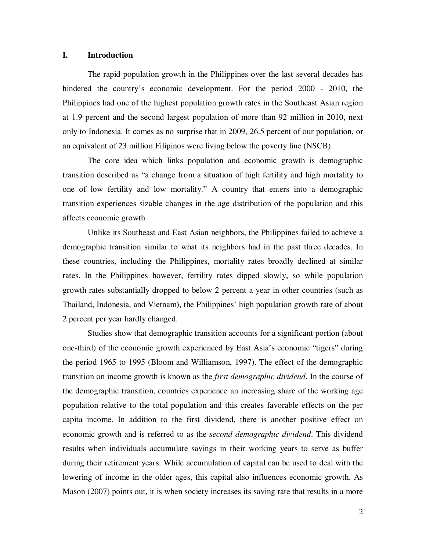## **I. Introduction**

 The rapid population growth in the Philippines over the last several decades has hindered the country's economic development. For the period 2000 - 2010, the Philippines had one of the highest population growth rates in the Southeast Asian region at 1.9 percent and the second largest population of more than 92 million in 2010, next only to Indonesia. It comes as no surprise that in 2009, 26.5 percent of our population, or an equivalent of 23 million Filipinos were living below the poverty line (NSCB).

The core idea which links population and economic growth is demographic transition described as "a change from a situation of high fertility and high mortality to one of low fertility and low mortality." A country that enters into a demographic transition experiences sizable changes in the age distribution of the population and this affects economic growth.

 Unlike its Southeast and East Asian neighbors, the Philippines failed to achieve a demographic transition similar to what its neighbors had in the past three decades. In these countries, including the Philippines, mortality rates broadly declined at similar rates. In the Philippines however, fertility rates dipped slowly, so while population growth rates substantially dropped to below 2 percent a year in other countries (such as Thailand, Indonesia, and Vietnam), the Philippines' high population growth rate of about 2 percent per year hardly changed.

 Studies show that demographic transition accounts for a significant portion (about one-third) of the economic growth experienced by East Asia's economic "tigers" during the period 1965 to 1995 (Bloom and Williamson, 1997). The effect of the demographic transition on income growth is known as the *first demographic dividend*. In the course of the demographic transition, countries experience an increasing share of the working age population relative to the total population and this creates favorable effects on the per capita income. In addition to the first dividend, there is another positive effect on economic growth and is referred to as the *second demographic dividend*. This dividend results when individuals accumulate savings in their working years to serve as buffer during their retirement years. While accumulation of capital can be used to deal with the lowering of income in the older ages, this capital also influences economic growth. As Mason (2007) points out, it is when society increases its saving rate that results in a more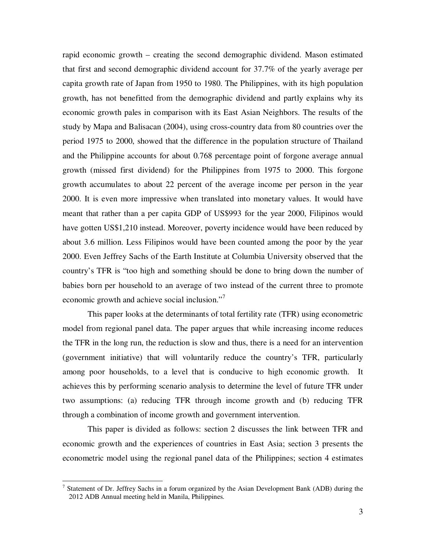rapid economic growth – creating the second demographic dividend. Mason estimated that first and second demographic dividend account for 37.7% of the yearly average per capita growth rate of Japan from 1950 to 1980. The Philippines, with its high population growth, has not benefitted from the demographic dividend and partly explains why its economic growth pales in comparison with its East Asian Neighbors. The results of the study by Mapa and Balisacan (2004), using cross-country data from 80 countries over the period 1975 to 2000, showed that the difference in the population structure of Thailand and the Philippine accounts for about 0.768 percentage point of forgone average annual growth (missed first dividend) for the Philippines from 1975 to 2000. This forgone growth accumulates to about 22 percent of the average income per person in the year 2000. It is even more impressive when translated into monetary values. It would have meant that rather than a per capita GDP of US\$993 for the year 2000, Filipinos would have gotten US\$1,210 instead. Moreover, poverty incidence would have been reduced by about 3.6 million. Less Filipinos would have been counted among the poor by the year 2000. Even Jeffrey Sachs of the Earth Institute at Columbia University observed that the country's TFR is "too high and something should be done to bring down the number of babies born per household to an average of two instead of the current three to promote economic growth and achieve social inclusion."<sup>7</sup>

This paper looks at the determinants of total fertility rate (TFR) using econometric model from regional panel data. The paper argues that while increasing income reduces the TFR in the long run, the reduction is slow and thus, there is a need for an intervention (government initiative) that will voluntarily reduce the country's TFR, particularly among poor households, to a level that is conducive to high economic growth. It achieves this by performing scenario analysis to determine the level of future TFR under two assumptions: (a) reducing TFR through income growth and (b) reducing TFR through a combination of income growth and government intervention.

 This paper is divided as follows: section 2 discusses the link between TFR and economic growth and the experiences of countries in East Asia; section 3 presents the econometric model using the regional panel data of the Philippines; section 4 estimates

<sup>&</sup>lt;sup>7</sup> Statement of Dr. Jeffrey Sachs in a forum organized by the Asian Development Bank (ADB) during the 2012 ADB Annual meeting held in Manila, Philippines.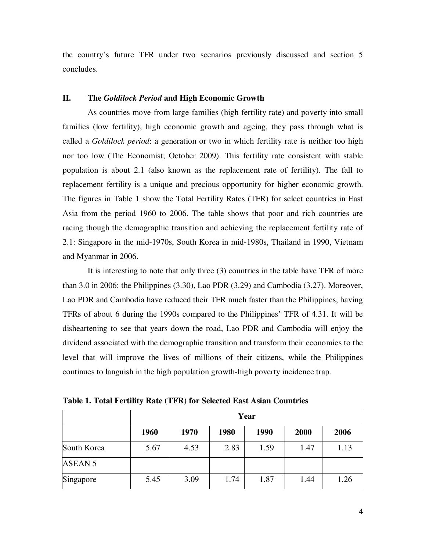the country's future TFR under two scenarios previously discussed and section 5 concludes.

## **II. The** *Goldilock Period* **and High Economic Growth**

 As countries move from large families (high fertility rate) and poverty into small families (low fertility), high economic growth and ageing, they pass through what is called a *Goldilock period*: a generation or two in which fertility rate is neither too high nor too low (The Economist; October 2009). This fertility rate consistent with stable population is about 2.1 (also known as the replacement rate of fertility). The fall to replacement fertility is a unique and precious opportunity for higher economic growth. The figures in Table 1 show the Total Fertility Rates (TFR) for select countries in East Asia from the period 1960 to 2006. The table shows that poor and rich countries are racing though the demographic transition and achieving the replacement fertility rate of 2.1: Singapore in the mid-1970s, South Korea in mid-1980s, Thailand in 1990, Vietnam and Myanmar in 2006.

 It is interesting to note that only three (3) countries in the table have TFR of more than 3.0 in 2006: the Philippines (3.30), Lao PDR (3.29) and Cambodia (3.27). Moreover, Lao PDR and Cambodia have reduced their TFR much faster than the Philippines, having TFRs of about 6 during the 1990s compared to the Philippines' TFR of 4.31. It will be disheartening to see that years down the road, Lao PDR and Cambodia will enjoy the dividend associated with the demographic transition and transform their economies to the level that will improve the lives of millions of their citizens, while the Philippines continues to languish in the high population growth-high poverty incidence trap.

**Table 1. Total Fertility Rate (TFR) for Selected East Asian Countries** 

|                | Year |      |      |      |      |      |
|----------------|------|------|------|------|------|------|
|                | 1960 | 1970 | 1980 | 1990 | 2000 | 2006 |
| South Korea    | 5.67 | 4.53 | 2.83 | 1.59 | 1.47 | 1.13 |
| <b>ASEAN 5</b> |      |      |      |      |      |      |
| Singapore      | 5.45 | 3.09 | 1.74 | 1.87 | 1.44 | 1.26 |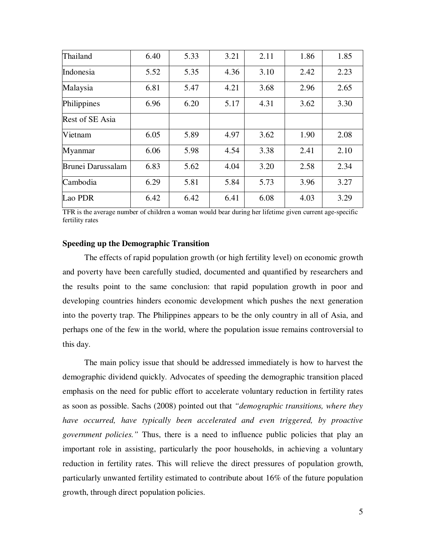| Thailand          | 6.40 | 5.33 | 3.21 | 2.11 | 1.86 | 1.85 |
|-------------------|------|------|------|------|------|------|
| Indonesia         | 5.52 | 5.35 | 4.36 | 3.10 | 2.42 | 2.23 |
| Malaysia          | 6.81 | 5.47 | 4.21 | 3.68 | 2.96 | 2.65 |
| Philippines       | 6.96 | 6.20 | 5.17 | 4.31 | 3.62 | 3.30 |
| Rest of SE Asia   |      |      |      |      |      |      |
| Vietnam           | 6.05 | 5.89 | 4.97 | 3.62 | 1.90 | 2.08 |
| Myanmar           | 6.06 | 5.98 | 4.54 | 3.38 | 2.41 | 2.10 |
| Brunei Darussalam | 6.83 | 5.62 | 4.04 | 3.20 | 2.58 | 2.34 |
| Cambodia          | 6.29 | 5.81 | 5.84 | 5.73 | 3.96 | 3.27 |
| Lao PDR           | 6.42 | 6.42 | 6.41 | 6.08 | 4.03 | 3.29 |

TFR is the average number of children a woman would bear during her lifetime given current age-specific fertility rates

## **Speeding up the Demographic Transition**

 The effects of rapid population growth (or high fertility level) on economic growth and poverty have been carefully studied, documented and quantified by researchers and the results point to the same conclusion: that rapid population growth in poor and developing countries hinders economic development which pushes the next generation into the poverty trap. The Philippines appears to be the only country in all of Asia, and perhaps one of the few in the world, where the population issue remains controversial to this day.

 The main policy issue that should be addressed immediately is how to harvest the demographic dividend quickly. Advocates of speeding the demographic transition placed emphasis on the need for public effort to accelerate voluntary reduction in fertility rates as soon as possible. Sachs (2008) pointed out that *"demographic transitions, where they have occurred, have typically been accelerated and even triggered, by proactive government policies."* Thus, there is a need to influence public policies that play an important role in assisting, particularly the poor households, in achieving a voluntary reduction in fertility rates. This will relieve the direct pressures of population growth, particularly unwanted fertility estimated to contribute about 16% of the future population growth, through direct population policies.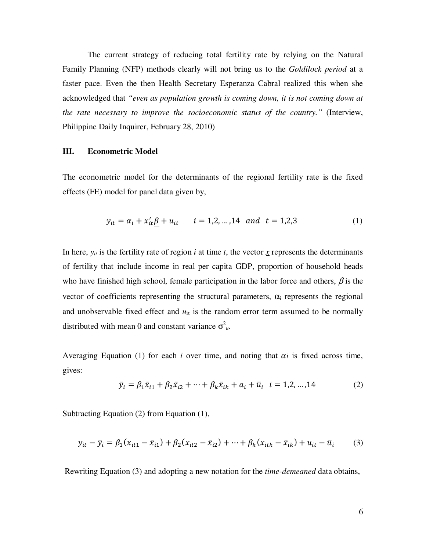The current strategy of reducing total fertility rate by relying on the Natural Family Planning (NFP) methods clearly will not bring us to the *Goldilock period* at a faster pace. Even the then Health Secretary Esperanza Cabral realized this when she acknowledged that *"even as population growth is coming down, it is not coming down at the rate necessary to improve the socioeconomic status of the country."* (Interview, Philippine Daily Inquirer, February 28, 2010)

## **III. Econometric Model**

The econometric model for the determinants of the regional fertility rate is the fixed effects (FE) model for panel data given by,

$$
y_{it} = \alpha_i + \underline{x'_{it}} \beta + u_{it} \qquad i = 1, 2, ..., 14 \quad and \quad t = 1, 2, 3
$$
 (1)

In here,  $y_{it}$  is the fertility rate of region *i* at time *t*, the vector  $\overline{x}$  represents the determinants of fertility that include income in real per capita GDP, proportion of household heads who have finished high school, female participation in the labor force and others,  $\beta$  is the vector of coefficients representing the structural parameters,  $\alpha_i$  represents the regional and unobservable fixed effect and  $u_{it}$  is the random error term assumed to be normally distributed with mean 0 and constant variance  $\sigma^2_{u}$ .

Averaging Equation (1) for each *i* over time, and noting that  $\alpha_i$  is fixed across time, gives:

$$
\bar{y}_i = \beta_1 \bar{x}_{i1} + \beta_2 \bar{x}_{i2} + \dots + \beta_k \bar{x}_{ik} + a_i + \bar{u}_i \quad i = 1, 2, \dots, 14
$$
 (2)

Subtracting Equation (2) from Equation (1),

$$
y_{it} - \bar{y}_i = \beta_1 (x_{it1} - \bar{x}_{i1}) + \beta_2 (x_{it2} - \bar{x}_{i2}) + \dots + \beta_k (x_{itk} - \bar{x}_{ik}) + u_{it} - \bar{u}_i \tag{3}
$$

Rewriting Equation (3) and adopting a new notation for the *time-demeaned* data obtains,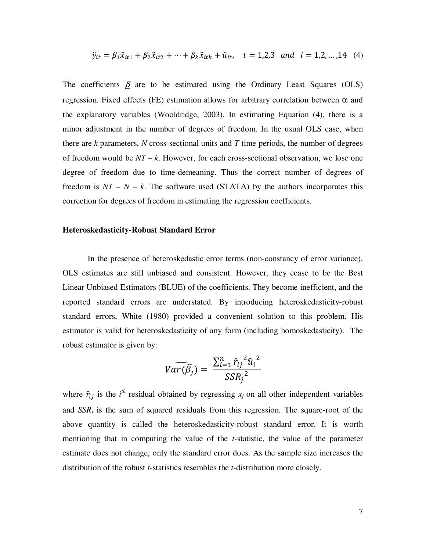$$
\ddot{y}_{it} = \beta_1 \ddot{x}_{it1} + \beta_2 \ddot{x}_{it2} + \dots + \beta_k \ddot{x}_{itk} + \ddot{u}_{it}, \quad t = 1, 2, 3 \text{ and } i = 1, 2, \dots, 14 \quad (4)
$$

The coefficients  $\beta$  are to be estimated using the Ordinary Least Squares (OLS) regression. Fixed effects (FE) estimation allows for arbitrary correlation between  $\alpha_i$  and the explanatory variables (Wooldridge, 2003). In estimating Equation (4), there is a minor adjustment in the number of degrees of freedom. In the usual OLS case, when there are *k* parameters, *N* cross-sectional units and *T* time periods, the number of degrees of freedom would be *NT* – *k*. However, for each cross-sectional observation, we lose one degree of freedom due to time-demeaning. Thus the correct number of degrees of freedom is  $NT - N - k$ . The software used (STATA) by the authors incorporates this correction for degrees of freedom in estimating the regression coefficients.

## **Heteroskedasticity-Robust Standard Error**

In the presence of heteroskedastic error terms (non-constancy of error variance), OLS estimates are still unbiased and consistent. However, they cease to be the Best Linear Unbiased Estimators (BLUE) of the coefficients. They become inefficient, and the reported standard errors are understated. By introducing heteroskedasticity-robust standard errors, White (1980) provided a convenient solution to this problem. His estimator is valid for heteroskedasticity of any form (including homoskedasticity). The robust estimator is given by:

$$
Var(\widehat{\beta}_j) = \frac{\sum_{i=1}^n \hat{r}_{ij}^2 \hat{u}_i^2}{SSR_j^2}
$$

where  $\hat{r}_{ij}$  is the *i*<sup>th</sup> residual obtained by regressing  $x_j$  on all other independent variables and  $SSR_i$  is the sum of squared residuals from this regression. The square-root of the above quantity is called the heteroskedasticity-robust standard error. It is worth mentioning that in computing the value of the *t*-statistic, the value of the parameter estimate does not change, only the standard error does. As the sample size increases the distribution of the robust *t*-statistics resembles the *t*-distribution more closely.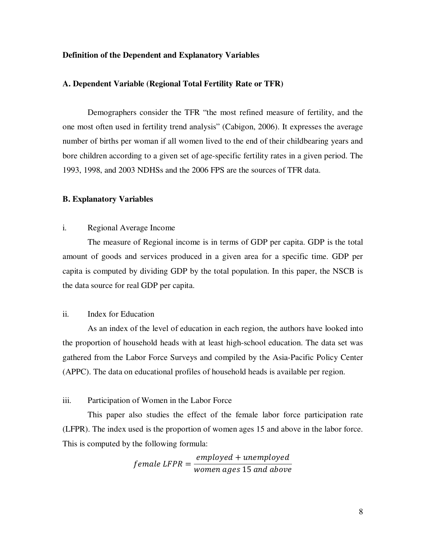# **Definition of the Dependent and Explanatory Variables**

# **A. Dependent Variable (Regional Total Fertility Rate or TFR)**

Demographers consider the TFR "the most refined measure of fertility, and the one most often used in fertility trend analysis" (Cabigon, 2006). It expresses the average number of births per woman if all women lived to the end of their childbearing years and bore children according to a given set of age-specific fertility rates in a given period. The 1993, 1998, and 2003 NDHSs and the 2006 FPS are the sources of TFR data.

### **B. Explanatory Variables**

# i. Regional Average Income

The measure of Regional income is in terms of GDP per capita. GDP is the total amount of goods and services produced in a given area for a specific time. GDP per capita is computed by dividing GDP by the total population. In this paper, the NSCB is the data source for real GDP per capita.

# ii. Index for Education

As an index of the level of education in each region, the authors have looked into the proportion of household heads with at least high-school education. The data set was gathered from the Labor Force Surveys and compiled by the Asia-Pacific Policy Center (APPC). The data on educational profiles of household heads is available per region.

#### iii. Participation of Women in the Labor Force

This paper also studies the effect of the female labor force participation rate (LFPR). The index used is the proportion of women ages 15 and above in the labor force. This is computed by the following formula:

> $f$ emale LFPR  $=$ employed + unemployed women ages 15 and above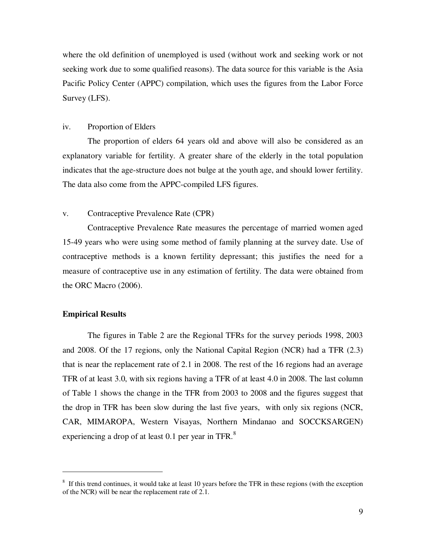where the old definition of unemployed is used (without work and seeking work or not seeking work due to some qualified reasons). The data source for this variable is the Asia Pacific Policy Center (APPC) compilation, which uses the figures from the Labor Force Survey (LFS).

## iv. Proportion of Elders

The proportion of elders 64 years old and above will also be considered as an explanatory variable for fertility. A greater share of the elderly in the total population indicates that the age-structure does not bulge at the youth age, and should lower fertility. The data also come from the APPC-compiled LFS figures.

# v. Contraceptive Prevalence Rate (CPR)

Contraceptive Prevalence Rate measures the percentage of married women aged 15-49 years who were using some method of family planning at the survey date. Use of contraceptive methods is a known fertility depressant; this justifies the need for a measure of contraceptive use in any estimation of fertility. The data were obtained from the ORC Macro (2006).

# **Empirical Results**

 $\overline{a}$ 

The figures in Table 2 are the Regional TFRs for the survey periods 1998, 2003 and 2008. Of the 17 regions, only the National Capital Region (NCR) had a TFR (2.3) that is near the replacement rate of 2.1 in 2008. The rest of the 16 regions had an average TFR of at least 3.0, with six regions having a TFR of at least 4.0 in 2008. The last column of Table 1 shows the change in the TFR from 2003 to 2008 and the figures suggest that the drop in TFR has been slow during the last five years, with only six regions (NCR, CAR, MIMAROPA, Western Visayas, Northern Mindanao and SOCCKSARGEN) experiencing a drop of at least 0.1 per year in TFR. $8$ 

 $8\,$  If this trend continues, it would take at least 10 years before the TFR in these regions (with the exception of the NCR) will be near the replacement rate of 2.1.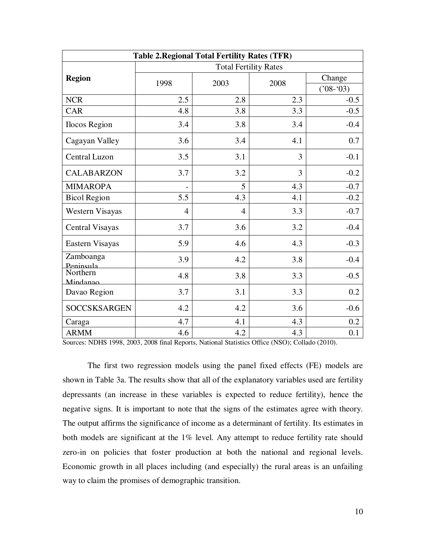| <b>Table 2. Regional Total Fertility Rates (TFR)</b> |                              |      |      |            |  |  |  |
|------------------------------------------------------|------------------------------|------|------|------------|--|--|--|
|                                                      | <b>Total Fertility Rates</b> |      |      |            |  |  |  |
| <b>Region</b>                                        |                              | 2003 |      | Change     |  |  |  |
|                                                      | 1998                         |      | 2008 | $(208-03)$ |  |  |  |
| <b>NCR</b>                                           | 2.5                          | 2.8  | 2.3  | $-0.5$     |  |  |  |
| CAR                                                  | 4.8                          | 3.8  | 3.3  | $-0.5$     |  |  |  |
| Ilocos Region                                        | 3.4                          | 3.8  | 3.4  | $-0.4$     |  |  |  |
| Cagayan Valley                                       | 3.6                          | 3.4  | 4.1  | 0.7        |  |  |  |
| <b>Central Luzon</b>                                 | 3.5                          | 3.1  | 3    | $-0.1$     |  |  |  |
| <b>CALABARZON</b>                                    | 3.7                          | 3.2  | 3    | $-0.2$     |  |  |  |
| <b>MIMAROPA</b>                                      |                              | 5    | 4.3  | $-0.7$     |  |  |  |
| <b>Bicol Region</b>                                  | 5.5                          | 4.3  | 4.1  | $-0.2$     |  |  |  |
| Western Visayas                                      | $\overline{4}$               | 4    | 3.3  | $-0.7$     |  |  |  |
| <b>Central Visayas</b>                               | 3.7                          | 3.6  | 3.2  | $-0.4$     |  |  |  |
| Eastern Visayas                                      | 5.9                          | 4.6  | 4.3  | $-0.3$     |  |  |  |
| Zamboanga<br>Peninsula                               | 3.9                          | 4.2  | 3.8  | $-0.4$     |  |  |  |
| Northern<br>Mindanao                                 | 4.8                          | 3.8  | 3.3  | $-0.5$     |  |  |  |
| Davao Region                                         | 3.7                          | 3.1  | 3.3  | 0.2        |  |  |  |
| <b>SOCCSKSARGEN</b>                                  | 4.2                          | 4.2  | 3.6  | $-0.6$     |  |  |  |
| Caraga                                               | 4.7                          | 4.1  | 4.3  | 0.2        |  |  |  |
| <b>ARMM</b>                                          | 4.6                          | 4.2  | 4.3  | 0.1        |  |  |  |

Sources: NDHS 1998, 2003, 2008 final Reports, National Statistics Office (NSO); Collado (2010).

The first two regression models using the panel fixed effects (FE) models are shown in Table 3a. The results show that all of the explanatory variables used are fertility depressants (an increase in these variables is expected to reduce fertility), hence the negative signs. It is important to note that the signs of the estimates agree with theory. The output affirms the significance of income as a determinant of fertility. Its estimates in both models are significant at the 1% level. Any attempt to reduce fertility rate should zero-in on policies that foster production at both the national and regional levels. Economic growth in all places including (and especially) the rural areas is an unfailing way to claim the promises of demographic transition.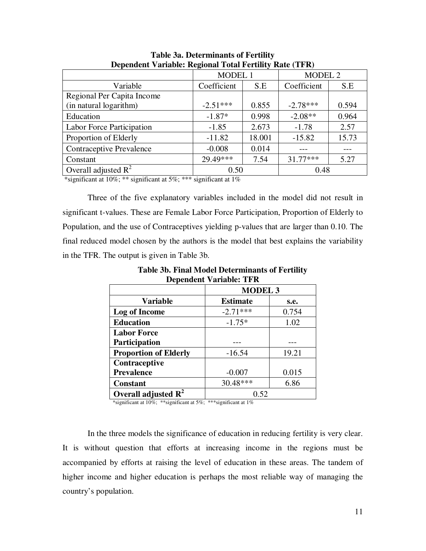| $\sim$ openative carmolel regional rough region $\frac{1}{2}$ |                |        |                    |       |  |  |
|---------------------------------------------------------------|----------------|--------|--------------------|-------|--|--|
|                                                               | <b>MODEL 1</b> |        | MODEL <sub>2</sub> |       |  |  |
| Variable                                                      | Coefficient    | S.E    | Coefficient        | S.E   |  |  |
| Regional Per Capita Income                                    |                |        |                    |       |  |  |
| (in natural logarithm)                                        | $-2.51***$     | 0.855  | $-2.78***$         | 0.594 |  |  |
| Education                                                     | $-1.87*$       | 0.998  | $-2.08**$          | 0.964 |  |  |
| Labor Force Participation                                     | $-1.85$        | 2.673  | $-1.78$            | 2.57  |  |  |
| Proportion of Elderly                                         | $-11.82$       | 18.001 | $-15.82$           | 15.73 |  |  |
| <b>Contraceptive Prevalence</b>                               | $-0.008$       | 0.014  |                    |       |  |  |
| Constant                                                      | 29.49***       | 7.54   | $31.77***$         | 5.27  |  |  |
| Overall adjusted $R^2$                                        | 0.50           |        | 0.48               |       |  |  |
|                                                               |                |        |                    |       |  |  |

**Table 3a. Determinants of Fertility Dependent Variable: Regional Total Fertility Rate (TFR)** 

\*significant at 10%; \*\* significant at 5%; \*\*\* significant at 1%

Three of the five explanatory variables included in the model did not result in significant t-values. These are Female Labor Force Participation, Proportion of Elderly to Population, and the use of Contraceptives yielding p-values that are larger than 0.10. The final reduced model chosen by the authors is the model that best explains the variability in the TFR. The output is given in Table 3b.

| Dependent variable; I F K       |                         |       |  |  |  |
|---------------------------------|-------------------------|-------|--|--|--|
|                                 | <b>MODEL 3</b>          |       |  |  |  |
| <b>Variable</b>                 | <b>Estimate</b><br>s.e. |       |  |  |  |
| Log of Income                   | $-2.71***$              | 0.754 |  |  |  |
| <b>Education</b>                | $-1.75*$                | 1.02  |  |  |  |
| <b>Labor Force</b>              |                         |       |  |  |  |
| <b>Participation</b>            |                         |       |  |  |  |
| <b>Proportion of Elderly</b>    | $-16.54$                | 19.21 |  |  |  |
| Contraceptive                   |                         |       |  |  |  |
| <b>Prevalence</b>               | $-0.007$                | 0.015 |  |  |  |
| <b>Constant</b>                 | 30.48***                | 6.86  |  |  |  |
| Overall adjusted $\mathbb{R}^2$ | 0.52                    |       |  |  |  |

**Table 3b. Final Model Determinants of Fertility Dependent Variable: TFR** 

\*significant at 10%; \*\*significant at 5%; \*\*\*significant at 1%

In the three models the significance of education in reducing fertility is very clear. It is without question that efforts at increasing income in the regions must be accompanied by efforts at raising the level of education in these areas. The tandem of higher income and higher education is perhaps the most reliable way of managing the country's population.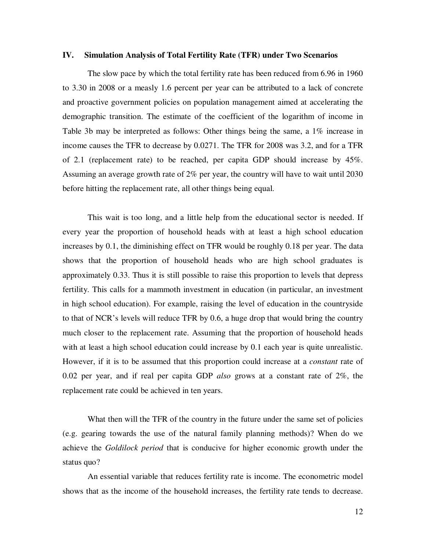## **IV. Simulation Analysis of Total Fertility Rate (TFR) under Two Scenarios**

 The slow pace by which the total fertility rate has been reduced from 6.96 in 1960 to 3.30 in 2008 or a measly 1.6 percent per year can be attributed to a lack of concrete and proactive government policies on population management aimed at accelerating the demographic transition. The estimate of the coefficient of the logarithm of income in Table 3b may be interpreted as follows: Other things being the same, a 1% increase in income causes the TFR to decrease by 0.0271. The TFR for 2008 was 3.2, and for a TFR of 2.1 (replacement rate) to be reached, per capita GDP should increase by 45%. Assuming an average growth rate of 2% per year, the country will have to wait until 2030 before hitting the replacement rate, all other things being equal.

This wait is too long, and a little help from the educational sector is needed. If every year the proportion of household heads with at least a high school education increases by 0.1, the diminishing effect on TFR would be roughly 0.18 per year. The data shows that the proportion of household heads who are high school graduates is approximately 0.33. Thus it is still possible to raise this proportion to levels that depress fertility. This calls for a mammoth investment in education (in particular, an investment in high school education). For example, raising the level of education in the countryside to that of NCR's levels will reduce TFR by 0.6, a huge drop that would bring the country much closer to the replacement rate. Assuming that the proportion of household heads with at least a high school education could increase by 0.1 each year is quite unrealistic. However, if it is to be assumed that this proportion could increase at a *constant* rate of 0.02 per year, and if real per capita GDP *also* grows at a constant rate of 2%, the replacement rate could be achieved in ten years.

What then will the TFR of the country in the future under the same set of policies (e.g. gearing towards the use of the natural family planning methods)? When do we achieve the *Goldilock period* that is conducive for higher economic growth under the status quo?

 An essential variable that reduces fertility rate is income. The econometric model shows that as the income of the household increases, the fertility rate tends to decrease.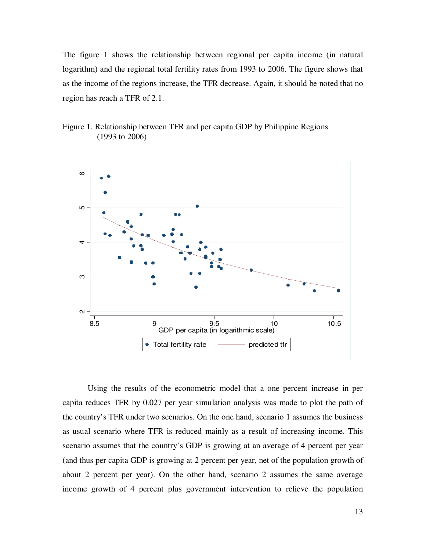The figure 1 shows the relationship between regional per capita income (in natural logarithm) and the regional total fertility rates from 1993 to 2006. The figure shows that as the income of the regions increase, the TFR decrease. Again, it should be noted that no region has reach a TFR of 2.1.





 Using the results of the econometric model that a one percent increase in per capita reduces TFR by 0.027 per year simulation analysis was made to plot the path of the country's TFR under two scenarios. On the one hand, scenario 1 assumes the business as usual scenario where TFR is reduced mainly as a result of increasing income. This scenario assumes that the country's GDP is growing at an average of 4 percent per year (and thus per capita GDP is growing at 2 percent per year, net of the population growth of about 2 percent per year). On the other hand, scenario 2 assumes the same average income growth of 4 percent plus government intervention to relieve the population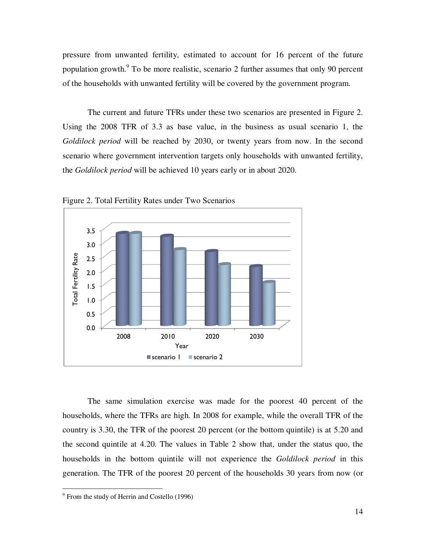pressure from unwanted fertility, estimated to account for 16 percent of the future population growth.<sup>9</sup> To be more realistic, scenario 2 further assumes that only 90 percent of the households with unwanted fertility will be covered by the government program.

 The current and future TFRs under these two scenarios are presented in Figure 2. Using the 2008 TFR of 3.3 as base value, in the business as usual scenario 1, the *Goldilock period* will be reached by 2030, or twenty years from now. In the second scenario where government intervention targets only households with unwanted fertility, the *Goldilock period* will be achieved 10 years early or in about 2020.



Figure 2. Total Fertility Rates under Two Scenarios

 The same simulation exercise was made for the poorest 40 percent of the households, where the TFRs are high. In 2008 for example, while the overall TFR of the country is 3.30, the TFR of the poorest 20 percent (or the bottom quintile) is at 5.20 and the second quintile at 4.20. The values in Table 2 show that, under the status quo, the households in the bottom quintile will not experience the *Goldilock period* in this generation. The TFR of the poorest 20 percent of the households 30 years from now (or

 9 From the study of Herrin and Costello (1996)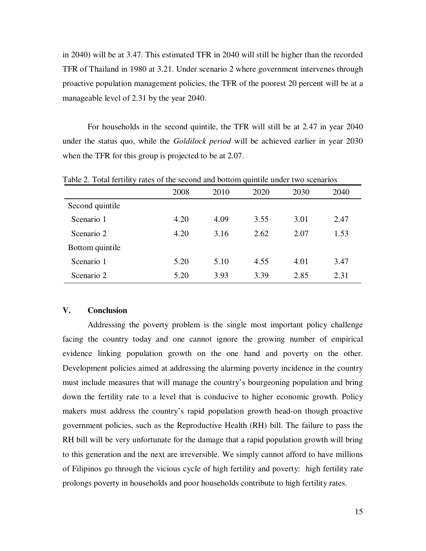in 2040) will be at 3.47. This estimated TFR in 2040 will still be higher than the recorded TFR of Thailand in 1980 at 3.21. Under scenario 2 where government intervenes through proactive population management policies, the TFR of the poorest 20 percent will be at a manageable level of 2.31 by the year 2040.

 For households in the second quintile, the TFR will still be at 2.47 in year 2040 under the status quo, while the *Goldilock period* will be achieved earlier in year 2030 when the TFR for this group is projected to be at 2.07.

|                 | 2008 | 2010 | 2020 | 2030 | 2040 |
|-----------------|------|------|------|------|------|
| Second quintile |      |      |      |      |      |
| Scenario 1      | 4.20 | 4.09 | 3.55 | 3.01 | 2.47 |
| Scenario 2      | 4.20 | 3.16 | 2.62 | 2.07 | 1.53 |
| Bottom quintile |      |      |      |      |      |
| Scenario 1      | 5.20 | 5.10 | 4.55 | 4.01 | 3.47 |
| Scenario 2      | 5.20 | 3.93 | 3.39 | 2.85 | 2.31 |

Table 2. Total fertility rates of the second and bottom quintile under two scenarios

# **V. Conclusion**

 Addressing the poverty problem is the single most important policy challenge facing the country today and one cannot ignore the growing number of empirical evidence linking population growth on the one hand and poverty on the other. Development policies aimed at addressing the alarming poverty incidence in the country must include measures that will manage the country's bourgeoning population and bring down the fertility rate to a level that is conducive to higher economic growth. Policy makers must address the country's rapid population growth head-on though proactive government policies, such as the Reproductive Health (RH) bill. The failure to pass the RH bill will be very unfortunate for the damage that a rapid population growth will bring to this generation and the next are irreversible. We simply cannot afford to have millions of Filipinos go through the vicious cycle of high fertility and poverty: high fertility rate prolongs poverty in households and poor households contribute to high fertility rates.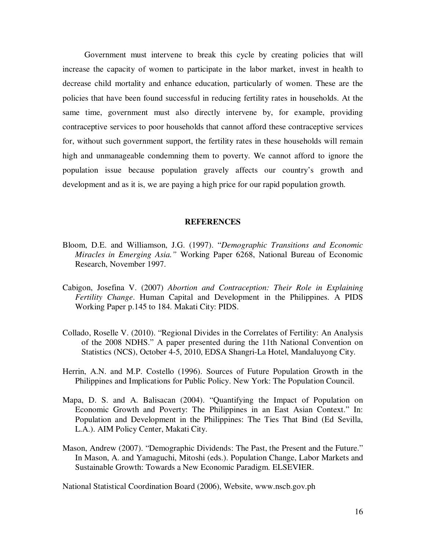Government must intervene to break this cycle by creating policies that will increase the capacity of women to participate in the labor market, invest in health to decrease child mortality and enhance education, particularly of women. These are the policies that have been found successful in reducing fertility rates in households. At the same time, government must also directly intervene by, for example, providing contraceptive services to poor households that cannot afford these contraceptive services for, without such government support, the fertility rates in these households will remain high and unmanageable condemning them to poverty. We cannot afford to ignore the population issue because population gravely affects our country's growth and development and as it is, we are paying a high price for our rapid population growth.

## **REFERENCES**

- Bloom, D.E. and Williamson, J.G. (1997). "*Demographic Transitions and Economic Miracles in Emerging Asia."* Working Paper 6268, National Bureau of Economic Research, November 1997.
- Cabigon, Josefina V. (2007) *Abortion and Contraception: Their Role in Explaining Fertility Change*. Human Capital and Development in the Philippines. A PIDS Working Paper p.145 to 184. Makati City: PIDS.
- Collado, Roselle V. (2010). "Regional Divides in the Correlates of Fertility: An Analysis of the 2008 NDHS." A paper presented during the 11th National Convention on Statistics (NCS), October 4-5, 2010, EDSA Shangri-La Hotel, Mandaluyong City.
- Herrin, A.N. and M.P. Costello (1996). Sources of Future Population Growth in the Philippines and Implications for Public Policy. New York: The Population Council.
- Mapa, D. S. and A. Balisacan (2004). "Quantifying the Impact of Population on Economic Growth and Poverty: The Philippines in an East Asian Context." In: Population and Development in the Philippines: The Ties That Bind (Ed Sevilla, L.A.). AIM Policy Center, Makati City.
- Mason, Andrew (2007). "Demographic Dividends: The Past, the Present and the Future." In Mason, A. and Yamaguchi, Mitoshi (eds.). Population Change, Labor Markets and Sustainable Growth: Towards a New Economic Paradigm. ELSEVIER.

National Statistical Coordination Board (2006), Website, www.nscb.gov.ph